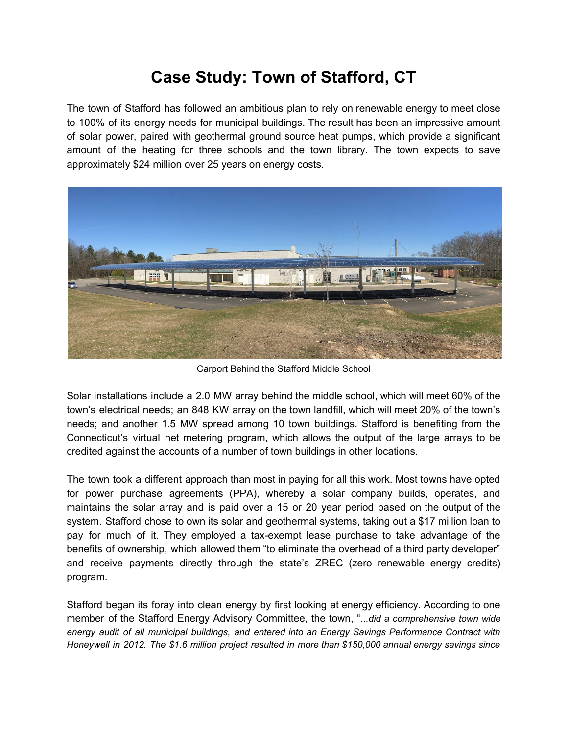## **Case Study: Town of Stafford, CT**

The town of Stafford has followed an ambitious plan to rely on renewable energy to meet close to 100% of its energy needs for municipal buildings. The result has been an impressive amount of solar power, paired with geothermal ground source heat pumps, which provide a significant amount of the heating for three schools and the town library. The town expects to save approximately \$24 million over 25 years on energy costs.



Carport Behind the Stafford Middle School

Solar installations include a 2.0 MW array behind the middle school, which will meet 60% of the town's electrical needs; an 848 KW array on the town landfill, which will meet 20% of the town's needs; and another 1.5 MW spread among 10 town buildings. Stafford is benefiting from the Connecticut's virtual net metering program, which allows the output of the large arrays to be credited against the accounts of a number of town buildings in other locations.

The town took a different approach than most in paying for all this work. Most towns have opted for power purchase agreements (PPA), whereby a solar company builds, operates, and maintains the solar array and is paid over a 15 or 20 year period based on the output of the system. Stafford chose to own its solar and geothermal systems, taking out a \$17 million loan to pay for much of it. They employed a tax-exempt lease purchase to take advantage of the benefits of ownership, which allowed them "to eliminate the overhead of a third party developer" and receive payments directly through the state's ZREC (zero renewable energy credits) program.

Stafford began its foray into clean energy by first looking at energy efficiency. According to one member of the Stafford Energy Advisory Committee, the town, "..*.did a comprehensive town wide energy audit of all municipal buildings, and entered into an Energy Savings Performance Contract with Honeywell in 2012. The \$1.6 million project resulted in more than \$150,000 annual energy savings since*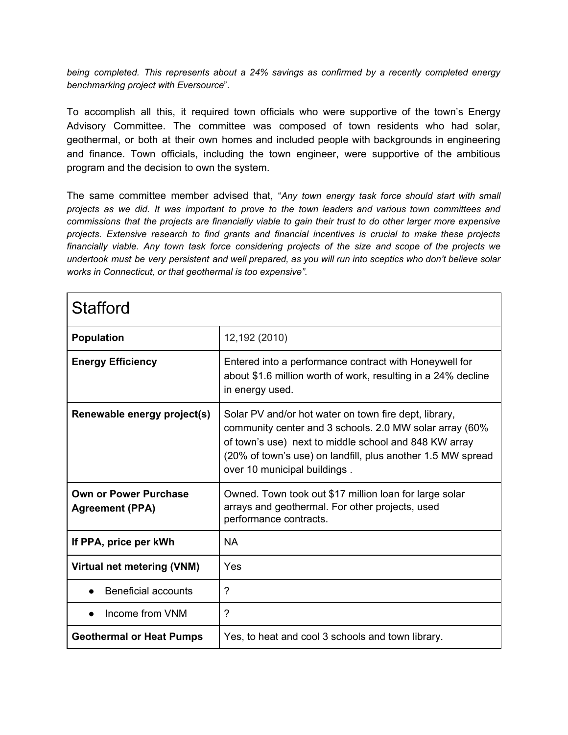*being completed. This represents about a 24% savings as confirmed by a recently completed energy benchmarking project with Eversource*".

To accomplish all this, it required town officials who were supportive of the town's Energy Advisory Committee. The committee was composed of town residents who had solar, geothermal, or both at their own homes and included people with backgrounds in engineering and finance. Town officials, including the town engineer, were supportive of the ambitious program and the decision to own the system.

The same committee member advised that, "*Any town energy task force should start with small projects as we did. It was important to prove to the town leaders and various town committees and* commissions that the projects are financially viable to gain their trust to do other larger more expensive *projects. Extensive research to find grants and financial incentives is crucial to make these projects financially viable. Any town task force considering projects of the size and scope of the projects we* undertook must be very persistent and well prepared, as you will run into sceptics who don't believe solar *works in Connecticut, or that geothermal is too expensive".*

| <b>Stafford</b>                                        |                                                                                                                                                                                                                                                                          |
|--------------------------------------------------------|--------------------------------------------------------------------------------------------------------------------------------------------------------------------------------------------------------------------------------------------------------------------------|
| <b>Population</b>                                      | 12,192 (2010)                                                                                                                                                                                                                                                            |
| <b>Energy Efficiency</b>                               | Entered into a performance contract with Honeywell for<br>about \$1.6 million worth of work, resulting in a 24% decline<br>in energy used.                                                                                                                               |
| Renewable energy project(s)                            | Solar PV and/or hot water on town fire dept, library,<br>community center and 3 schools. 2.0 MW solar array (60%<br>of town's use) next to middle school and 848 KW array<br>(20% of town's use) on landfill, plus another 1.5 MW spread<br>over 10 municipal buildings. |
| <b>Own or Power Purchase</b><br><b>Agreement (PPA)</b> | Owned. Town took out \$17 million loan for large solar<br>arrays and geothermal. For other projects, used<br>performance contracts.                                                                                                                                      |
| If PPA, price per kWh                                  | <b>NA</b>                                                                                                                                                                                                                                                                |
| Virtual net metering (VNM)                             | Yes                                                                                                                                                                                                                                                                      |
| <b>Beneficial accounts</b>                             | $\gamma$                                                                                                                                                                                                                                                                 |
| Income from VNM                                        | $\gamma$                                                                                                                                                                                                                                                                 |
| <b>Geothermal or Heat Pumps</b>                        | Yes, to heat and cool 3 schools and town library.                                                                                                                                                                                                                        |